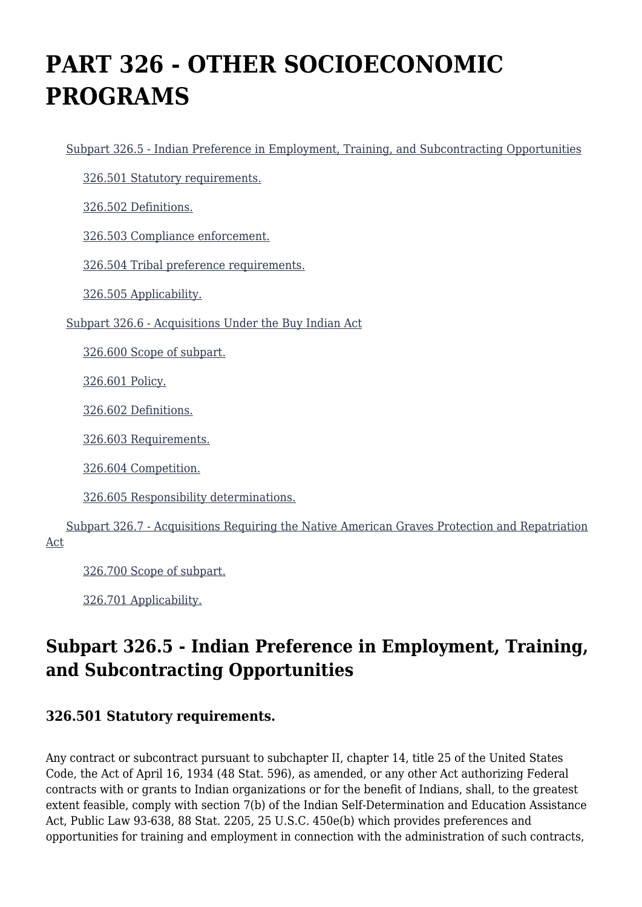# **PART 326 - OTHER SOCIOECONOMIC PROGRAMS**

[Subpart 326.5 - Indian Preference in Employment, Training, and Subcontracting Opportunities](https://origin-www.acquisition.gov/%5Brp:link:hhsar-part-326%5D#Subpart_326_5_T48_4014231)

[326.501 Statutory requirements.](https://origin-www.acquisition.gov/%5Brp:link:hhsar-part-326%5D#Section_326_501_T48_401423111)

[326.502 Definitions.](https://origin-www.acquisition.gov/%5Brp:link:hhsar-part-326%5D#Section_326_502_T48_401423112)

[326.503 Compliance enforcement.](https://origin-www.acquisition.gov/%5Brp:link:hhsar-part-326%5D#Section_326_503_T48_401423113)

[326.504 Tribal preference requirements.](https://origin-www.acquisition.gov/%5Brp:link:hhsar-part-326%5D#Section_326_504_T48_401423114)

[326.505 Applicability.](https://origin-www.acquisition.gov/%5Brp:link:hhsar-part-326%5D#Section_326_505_T48_401423115)

[Subpart 326.6 - Acquisitions Under the Buy Indian Act](https://origin-www.acquisition.gov/%5Brp:link:hhsar-part-326%5D#Subpart_326_6_T48_4014232)

[326.600 Scope of subpart.](https://origin-www.acquisition.gov/%5Brp:link:hhsar-part-326%5D#Section_326_600_T48_401423211)

[326.601 Policy.](https://origin-www.acquisition.gov/%5Brp:link:hhsar-part-326%5D#Section_326_601_T48_401423212)

[326.602 Definitions.](https://origin-www.acquisition.gov/%5Brp:link:hhsar-part-326%5D#Section_326_602_T48_401423213)

[326.603 Requirements.](https://origin-www.acquisition.gov/%5Brp:link:hhsar-part-326%5D#Section_326_603_T48_401423214)

[326.604 Competition.](https://origin-www.acquisition.gov/%5Brp:link:hhsar-part-326%5D#Section_326_604_T48_401423215)

[326.605 Responsibility determinations.](https://origin-www.acquisition.gov/%5Brp:link:hhsar-part-326%5D#Section_326_605_T48_401423216)

 [Subpart 326.7 - Acquisitions Requiring the Native American Graves Protection and Repatriation](https://origin-www.acquisition.gov/%5Brp:link:hhsar-part-326%5D#Subpart_326_7_T48_4014233) [Act](https://origin-www.acquisition.gov/%5Brp:link:hhsar-part-326%5D#Subpart_326_7_T48_4014233)

[326.700 Scope of subpart.](https://origin-www.acquisition.gov/%5Brp:link:hhsar-part-326%5D#Section_326_700_T48_401423311)

[326.701 Applicability.](https://origin-www.acquisition.gov/%5Brp:link:hhsar-part-326%5D#Section_326_701_T48_401423312)

# **Subpart 326.5 - Indian Preference in Employment, Training, and Subcontracting Opportunities**

#### **326.501 Statutory requirements.**

Any contract or subcontract pursuant to subchapter II, chapter 14, title 25 of the United States Code, the Act of April 16, 1934 (48 Stat. 596), as amended, or any other Act authorizing Federal contracts with or grants to Indian organizations or for the benefit of Indians, shall, to the greatest extent feasible, comply with section 7(b) of the Indian Self-Determination and Education Assistance Act, Public Law 93-638, 88 Stat. 2205, 25 U.S.C. 450e(b) which provides preferences and opportunities for training and employment in connection with the administration of such contracts,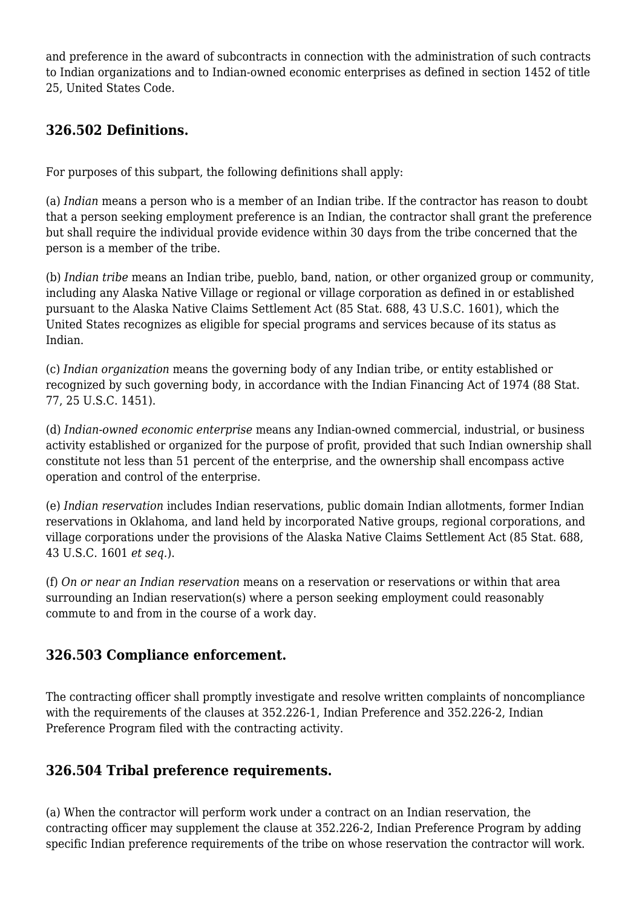and preference in the award of subcontracts in connection with the administration of such contracts to Indian organizations and to Indian-owned economic enterprises as defined in section 1452 of title 25, United States Code.

# **326.502 Definitions.**

For purposes of this subpart, the following definitions shall apply:

(a) *Indian* means a person who is a member of an Indian tribe. If the contractor has reason to doubt that a person seeking employment preference is an Indian, the contractor shall grant the preference but shall require the individual provide evidence within 30 days from the tribe concerned that the person is a member of the tribe.

(b) *Indian tribe* means an Indian tribe, pueblo, band, nation, or other organized group or community, including any Alaska Native Village or regional or village corporation as defined in or established pursuant to the Alaska Native Claims Settlement Act (85 Stat. 688, 43 U.S.C. 1601), which the United States recognizes as eligible for special programs and services because of its status as Indian.

(c) *Indian organization* means the governing body of any Indian tribe, or entity established or recognized by such governing body, in accordance with the Indian Financing Act of 1974 (88 Stat. 77, 25 U.S.C. 1451).

(d) *Indian-owned economic enterprise* means any Indian-owned commercial, industrial, or business activity established or organized for the purpose of profit, provided that such Indian ownership shall constitute not less than 51 percent of the enterprise, and the ownership shall encompass active operation and control of the enterprise.

(e) *Indian reservation* includes Indian reservations, public domain Indian allotments, former Indian reservations in Oklahoma, and land held by incorporated Native groups, regional corporations, and village corporations under the provisions of the Alaska Native Claims Settlement Act (85 Stat. 688, 43 U.S.C. 1601 *et seq.*).

(f) *On or near an Indian reservation* means on a reservation or reservations or within that area surrounding an Indian reservation(s) where a person seeking employment could reasonably commute to and from in the course of a work day.

# **326.503 Compliance enforcement.**

The contracting officer shall promptly investigate and resolve written complaints of noncompliance with the requirements of the clauses at 352.226-1, Indian Preference and 352.226-2, Indian Preference Program filed with the contracting activity.

# **326.504 Tribal preference requirements.**

(a) When the contractor will perform work under a contract on an Indian reservation, the contracting officer may supplement the clause at 352.226-2, Indian Preference Program by adding specific Indian preference requirements of the tribe on whose reservation the contractor will work.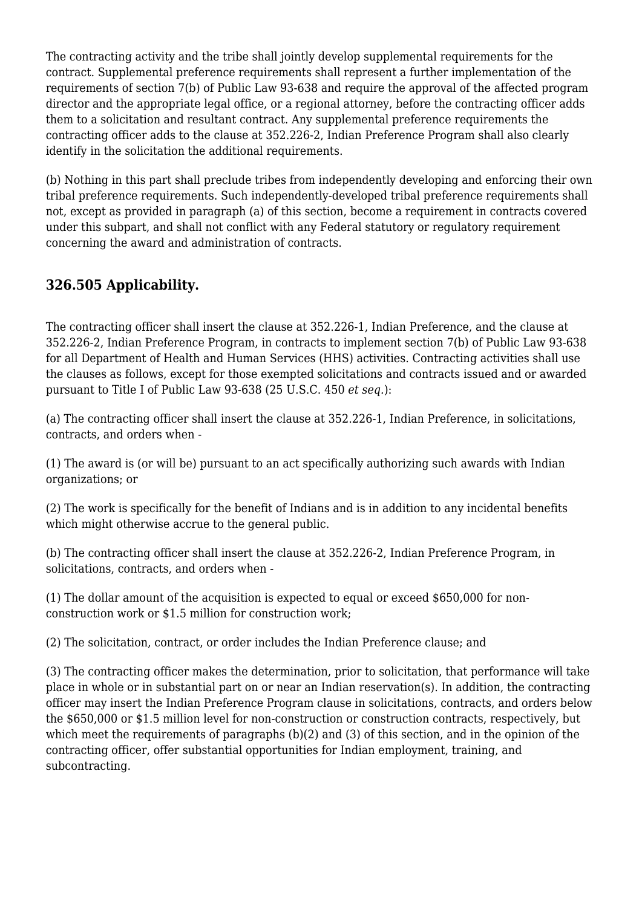The contracting activity and the tribe shall jointly develop supplemental requirements for the contract. Supplemental preference requirements shall represent a further implementation of the requirements of section 7(b) of Public Law 93-638 and require the approval of the affected program director and the appropriate legal office, or a regional attorney, before the contracting officer adds them to a solicitation and resultant contract. Any supplemental preference requirements the contracting officer adds to the clause at 352.226-2, Indian Preference Program shall also clearly identify in the solicitation the additional requirements.

(b) Nothing in this part shall preclude tribes from independently developing and enforcing their own tribal preference requirements. Such independently-developed tribal preference requirements shall not, except as provided in paragraph (a) of this section, become a requirement in contracts covered under this subpart, and shall not conflict with any Federal statutory or regulatory requirement concerning the award and administration of contracts.

# **326.505 Applicability.**

The contracting officer shall insert the clause at 352.226-1, Indian Preference, and the clause at 352.226-2, Indian Preference Program, in contracts to implement section 7(b) of Public Law 93-638 for all Department of Health and Human Services (HHS) activities. Contracting activities shall use the clauses as follows, except for those exempted solicitations and contracts issued and or awarded pursuant to Title I of Public Law 93-638 (25 U.S.C. 450 *et seq.*):

(a) The contracting officer shall insert the clause at 352.226-1, Indian Preference, in solicitations, contracts, and orders when -

(1) The award is (or will be) pursuant to an act specifically authorizing such awards with Indian organizations; or

(2) The work is specifically for the benefit of Indians and is in addition to any incidental benefits which might otherwise accrue to the general public.

(b) The contracting officer shall insert the clause at 352.226-2, Indian Preference Program, in solicitations, contracts, and orders when -

(1) The dollar amount of the acquisition is expected to equal or exceed \$650,000 for nonconstruction work or \$1.5 million for construction work;

(2) The solicitation, contract, or order includes the Indian Preference clause; and

(3) The contracting officer makes the determination, prior to solicitation, that performance will take place in whole or in substantial part on or near an Indian reservation(s). In addition, the contracting officer may insert the Indian Preference Program clause in solicitations, contracts, and orders below the \$650,000 or \$1.5 million level for non-construction or construction contracts, respectively, but which meet the requirements of paragraphs (b)(2) and (3) of this section, and in the opinion of the contracting officer, offer substantial opportunities for Indian employment, training, and subcontracting.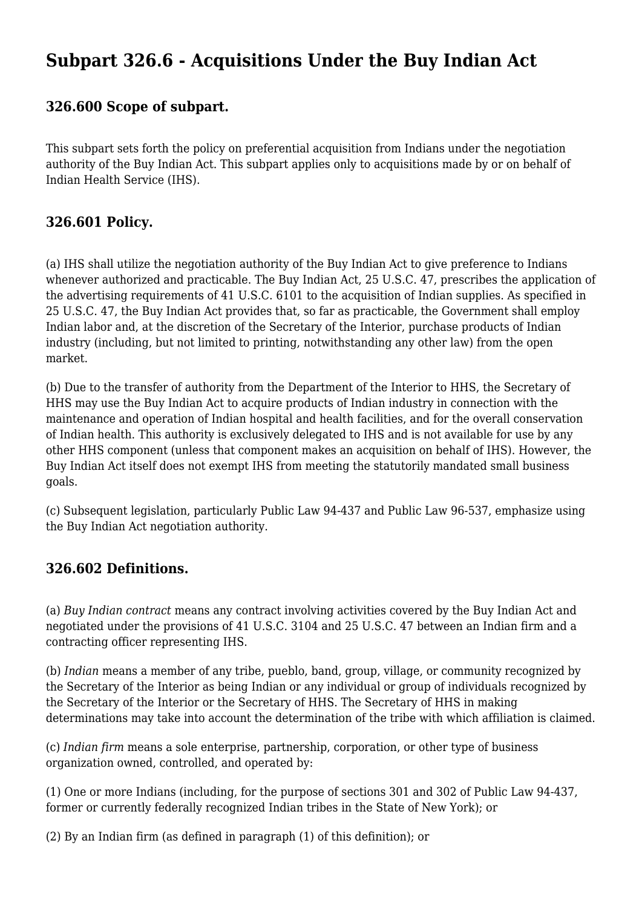# **Subpart 326.6 - Acquisitions Under the Buy Indian Act**

#### **326.600 Scope of subpart.**

This subpart sets forth the policy on preferential acquisition from Indians under the negotiation authority of the Buy Indian Act. This subpart applies only to acquisitions made by or on behalf of Indian Health Service (IHS).

#### **326.601 Policy.**

(a) IHS shall utilize the negotiation authority of the Buy Indian Act to give preference to Indians whenever authorized and practicable. The Buy Indian Act, 25 U.S.C. 47, prescribes the application of the advertising requirements of 41 U.S.C. 6101 to the acquisition of Indian supplies. As specified in 25 U.S.C. 47, the Buy Indian Act provides that, so far as practicable, the Government shall employ Indian labor and, at the discretion of the Secretary of the Interior, purchase products of Indian industry (including, but not limited to printing, notwithstanding any other law) from the open market.

(b) Due to the transfer of authority from the Department of the Interior to HHS, the Secretary of HHS may use the Buy Indian Act to acquire products of Indian industry in connection with the maintenance and operation of Indian hospital and health facilities, and for the overall conservation of Indian health. This authority is exclusively delegated to IHS and is not available for use by any other HHS component (unless that component makes an acquisition on behalf of IHS). However, the Buy Indian Act itself does not exempt IHS from meeting the statutorily mandated small business goals.

(c) Subsequent legislation, particularly Public Law 94-437 and Public Law 96-537, emphasize using the Buy Indian Act negotiation authority.

# **326.602 Definitions.**

(a) *Buy Indian contract* means any contract involving activities covered by the Buy Indian Act and negotiated under the provisions of 41 U.S.C. 3104 and 25 U.S.C. 47 between an Indian firm and a contracting officer representing IHS.

(b) *Indian* means a member of any tribe, pueblo, band, group, village, or community recognized by the Secretary of the Interior as being Indian or any individual or group of individuals recognized by the Secretary of the Interior or the Secretary of HHS. The Secretary of HHS in making determinations may take into account the determination of the tribe with which affiliation is claimed.

(c) *Indian firm* means a sole enterprise, partnership, corporation, or other type of business organization owned, controlled, and operated by:

(1) One or more Indians (including, for the purpose of sections 301 and 302 of Public Law 94-437, former or currently federally recognized Indian tribes in the State of New York); or

(2) By an Indian firm (as defined in paragraph (1) of this definition); or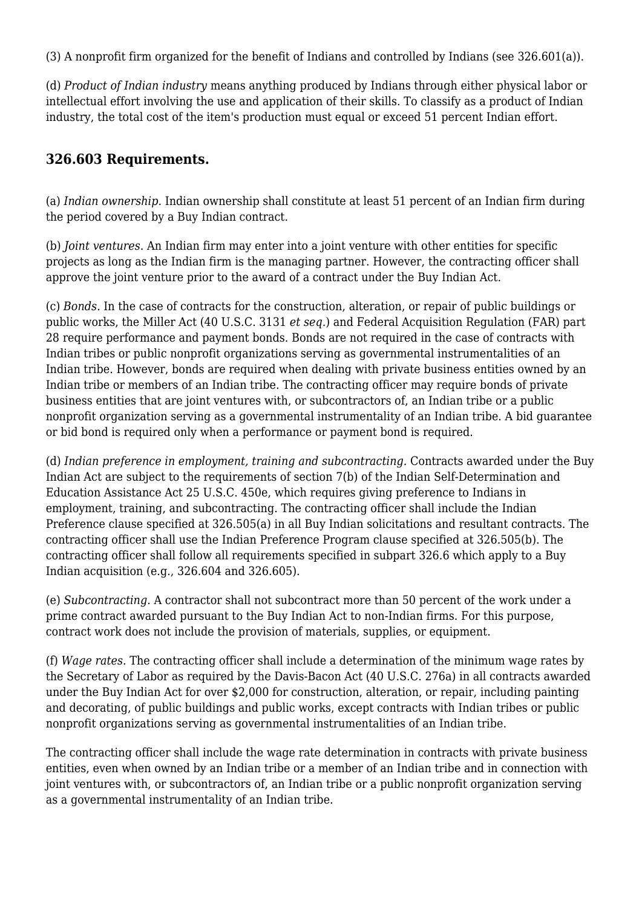(3) A nonprofit firm organized for the benefit of Indians and controlled by Indians (see 326.601(a)).

(d) *Product of Indian industry* means anything produced by Indians through either physical labor or intellectual effort involving the use and application of their skills. To classify as a product of Indian industry, the total cost of the item's production must equal or exceed 51 percent Indian effort.

# **326.603 Requirements.**

(a) *Indian ownership.* Indian ownership shall constitute at least 51 percent of an Indian firm during the period covered by a Buy Indian contract.

(b) *Joint ventures.* An Indian firm may enter into a joint venture with other entities for specific projects as long as the Indian firm is the managing partner. However, the contracting officer shall approve the joint venture prior to the award of a contract under the Buy Indian Act.

(c) *Bonds.* In the case of contracts for the construction, alteration, or repair of public buildings or public works, the Miller Act (40 U.S.C. 3131 *et seq.*) and Federal Acquisition Regulation (FAR) part 28 require performance and payment bonds. Bonds are not required in the case of contracts with Indian tribes or public nonprofit organizations serving as governmental instrumentalities of an Indian tribe. However, bonds are required when dealing with private business entities owned by an Indian tribe or members of an Indian tribe. The contracting officer may require bonds of private business entities that are joint ventures with, or subcontractors of, an Indian tribe or a public nonprofit organization serving as a governmental instrumentality of an Indian tribe. A bid guarantee or bid bond is required only when a performance or payment bond is required.

(d) *Indian preference in employment, training and subcontracting.* Contracts awarded under the Buy Indian Act are subject to the requirements of section 7(b) of the Indian Self-Determination and Education Assistance Act 25 U.S.C. 450e, which requires giving preference to Indians in employment, training, and subcontracting. The contracting officer shall include the Indian Preference clause specified at 326.505(a) in all Buy Indian solicitations and resultant contracts. The contracting officer shall use the Indian Preference Program clause specified at 326.505(b). The contracting officer shall follow all requirements specified in subpart 326.6 which apply to a Buy Indian acquisition (e.g., 326.604 and 326.605).

(e) *Subcontracting.* A contractor shall not subcontract more than 50 percent of the work under a prime contract awarded pursuant to the Buy Indian Act to non-Indian firms. For this purpose, contract work does not include the provision of materials, supplies, or equipment.

(f) *Wage rates.* The contracting officer shall include a determination of the minimum wage rates by the Secretary of Labor as required by the Davis-Bacon Act (40 U.S.C. 276a) in all contracts awarded under the Buy Indian Act for over \$2,000 for construction, alteration, or repair, including painting and decorating, of public buildings and public works, except contracts with Indian tribes or public nonprofit organizations serving as governmental instrumentalities of an Indian tribe.

The contracting officer shall include the wage rate determination in contracts with private business entities, even when owned by an Indian tribe or a member of an Indian tribe and in connection with joint ventures with, or subcontractors of, an Indian tribe or a public nonprofit organization serving as a governmental instrumentality of an Indian tribe.